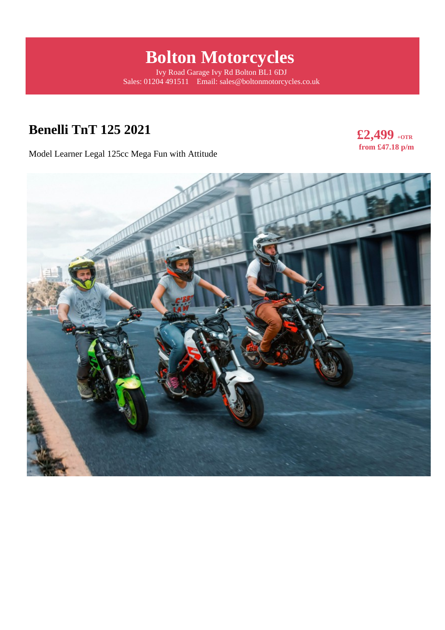# **Bolton Motorcycles**

Ivy Road Garage Ivy Rd Bolton BL1 6DJ Sales: 01204 491511 Email: sales@boltonmotorcycles.co.uk

## **Benelli TnT 125 2021**

**£2,499 +OTR from £47.18 p/m** 

Model Learner Legal 125cc Mega Fun with Attitude

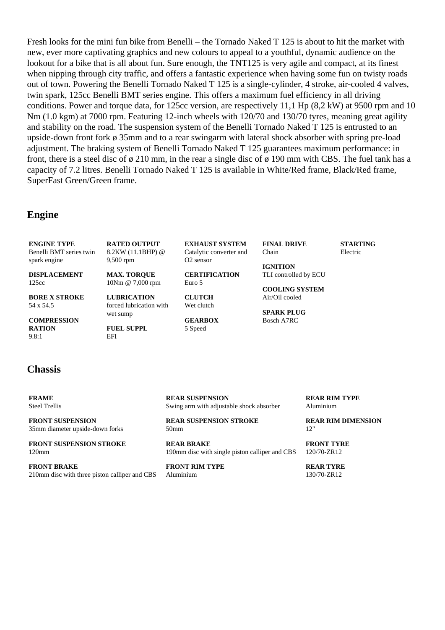Fresh looks for the mini fun bike from Benelli – the Tornado Naked T 125 is about to hit the market with new, ever more captivating graphics and new colours to appeal to a youthful, dynamic audience on the lookout for a bike that is all about fun. Sure enough, the TNT125 is very agile and compact, at its finest when nipping through city traffic, and offers a fantastic experience when having some fun on twisty roads out of town. Powering the Benelli Tornado Naked T 125 is a single-cylinder, 4 stroke, air-cooled 4 valves, twin spark, 125cc Benelli BMT series engine. This offers a maximum fuel efficiency in all driving conditions. Power and torque data, for 125cc version, are respectively 11,1 Hp (8,2 kW) at 9500 rpm and 10 Nm (1.0 kgm) at 7000 rpm. Featuring 12-inch wheels with 120/70 and 130/70 tyres, meaning great agility and stability on the road. The suspension system of the Benelli Tornado Naked T 125 is entrusted to an upside-down front fork ø 35mm and to a rear swingarm with lateral shock absorber with spring pre-load adjustment. The braking system of Benelli Tornado Naked T 125 guarantees maximum performance: in front, there is a steel disc of ø 210 mm, in the rear a single disc of ø 190 mm with CBS. The fuel tank has a capacity of 7.2 litres. Benelli Tornado Naked T 125 is available in White/Red frame, Black/Red frame, SuperFast Green/Green frame.

#### **Engine**

**ENGINE TYPE** Benelli BMT series twin spark engine **DISPLACEMENT** 125cc **BORE X STROKE** 54 x 54.5 **COMPRESSION RATION** 9.8:1 **RATED OUTPUT** 8.2KW (11.1BHP) @ 9,500 rpm **MAX. TORQUE** 10Nm @ 7,000 rpm **LUBRICATION** forced lubrication with wet sump **FUEL SUPPL EXHAUST SYSTEM** Catalytic converter and O2 sensor **CERTIFICATION** Euro 5 **CLUTCH** Wet clutch **GEARBOX** 5 Speed **FINAL DRIVE** Chain **IGNITION** TLI controlled by ECU **COOLING SYSTEM** Air/Oil cooled **SPARK PLUG** Bosch A7RC **STARTING** Electric

#### **Chassis**

**FRAME** Steel Trellis

**FRONT SUSPENSION** 35mm diameter upside-down forks

**FRONT SUSPENSION STROKE** 120mm

**FRONT BRAKE** 210mm disc with three piston calliper and CBS

EFI

**REAR SUSPENSION** Swing arm with adjustable shock absorber

**REAR SUSPENSION STROKE** 50mm

**REAR BRAKE** 190mm disc with single piston calliper and CBS

**FRONT RIM TYPE** Aluminium

**REAR RIM TYPE** Aluminium

**REAR RIM DIMENSION** 12"

**FRONT TYRE** 120/70-ZR12

**REAR TYRE** 130/70-ZR12